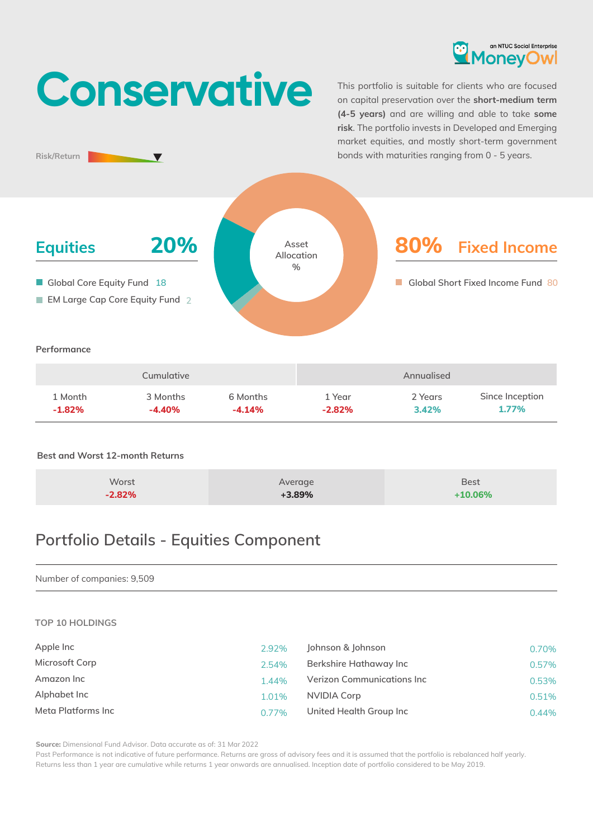

# **Conservative**

This portfolio is suitable for clients who are focused on capital preservation over the **short-medium term (4-5 years)** and are willing and able to take **some risk**. The portfolio invests in Developed and Emerging market equities, and mostly short-term government bonds with maturities ranging from 0 - 5 years.



## **Best and Worst 12-month Returns**

**Risk/Return**

| Worst    | Average  | <b>Best</b> |
|----------|----------|-------------|
|          |          |             |
| $-2.82%$ | $+3.89%$ | $+10.06%$   |

# **Portfolio Details - Equities Component**

#### Number of companies: 9,509

#### **TOP 10 HOLDINGS**

| Apple Inc          | 2.92% | Johnson & Johnson          | 0.70% |
|--------------------|-------|----------------------------|-------|
| Microsoft Corp     | 2.54% | Berkshire Hathaway Inc     | 0.57% |
| Amazon Inc         | 1.44% | Verizon Communications Inc | 0.53% |
| Alphabet Inc       | 1.01% | NVIDIA Corp                | 0.51% |
| Meta Platforms Inc | 0.77% | United Health Group Inc    | 0.44% |

**Source:** Dimensional Fund Advisor. Data accurate as of: 31 Mar 2022

Past Performance is not indicative of future performance. Returns are gross of advisory fees and it is assumed that the portfolio is rebalanced half yearly. Returns less than 1 year are cumulative while returns 1 year onwards are annualised. Inception date of portfolio considered to be May 2019.